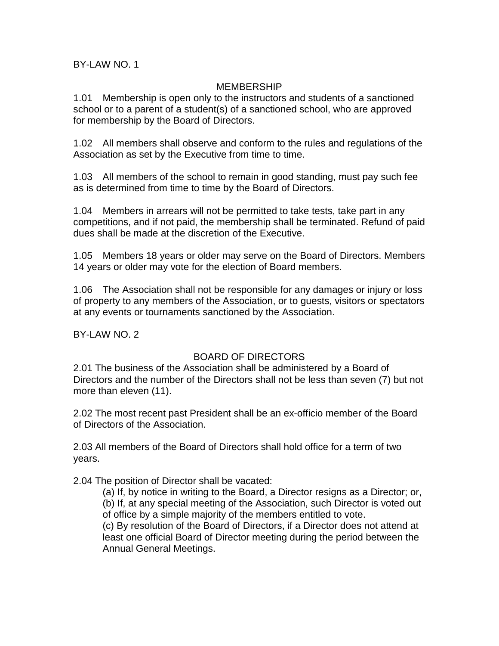BY-LAW NO. 1

### MEMBERSHIP

1.01 Membership is open only to the instructors and students of a sanctioned school or to a parent of a student(s) of a sanctioned school, who are approved for membership by the Board of Directors.

1.02 All members shall observe and conform to the rules and regulations of the Association as set by the Executive from time to time.

1.03 All members of the school to remain in good standing, must pay such fee as is determined from time to time by the Board of Directors.

1.04 Members in arrears will not be permitted to take tests, take part in any competitions, and if not paid, the membership shall be terminated. Refund of paid dues shall be made at the discretion of the Executive.

1.05 Members 18 years or older may serve on the Board of Directors. Members 14 years or older may vote for the election of Board members.

1.06 The Association shall not be responsible for any damages or injury or loss of property to any members of the Association, or to guests, visitors or spectators at any events or tournaments sanctioned by the Association.

BY-LAW NO. 2

### BOARD OF DIRECTORS

2.01 The business of the Association shall be administered by a Board of Directors and the number of the Directors shall not be less than seven (7) but not more than eleven (11).

2.02 The most recent past President shall be an ex-officio member of the Board of Directors of the Association.

2.03 All members of the Board of Directors shall hold office for a term of two years.

2.04 The position of Director shall be vacated:

(a) If, by notice in writing to the Board, a Director resigns as a Director; or,

(b) If, at any special meeting of the Association, such Director is voted out of office by a simple majority of the members entitled to vote.

(c) By resolution of the Board of Directors, if a Director does not attend at least one official Board of Director meeting during the period between the Annual General Meetings.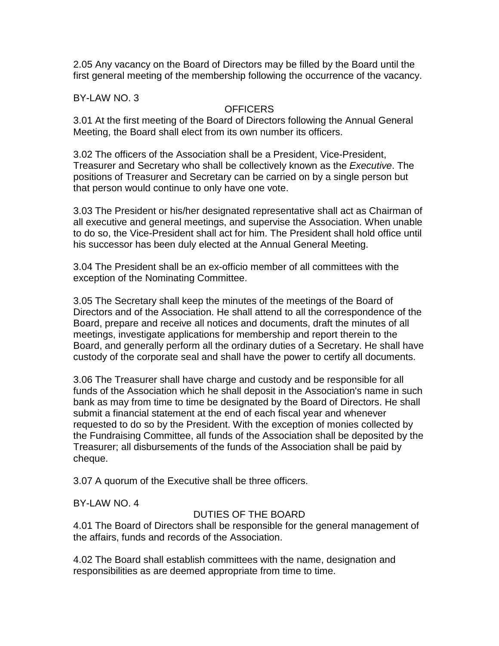2.05 Any vacancy on the Board of Directors may be filled by the Board until the first general meeting of the membership following the occurrence of the vacancy.

BY-LAW NO. 3

## **OFFICERS**

3.01 At the first meeting of the Board of Directors following the Annual General Meeting, the Board shall elect from its own number its officers.

3.02 The officers of the Association shall be a President, Vice-President, Treasurer and Secretary who shall be collectively known as the Executive. The positions of Treasurer and Secretary can be carried on by a single person but that person would continue to only have one vote.

3.03 The President or his/her designated representative shall act as Chairman of all executive and general meetings, and supervise the Association. When unable to do so, the Vice-President shall act for him. The President shall hold office until his successor has been duly elected at the Annual General Meeting.

3.04 The President shall be an ex-officio member of all committees with the exception of the Nominating Committee.

3.05 The Secretary shall keep the minutes of the meetings of the Board of Directors and of the Association. He shall attend to all the correspondence of the Board, prepare and receive all notices and documents, draft the minutes of all meetings, investigate applications for membership and report therein to the Board, and generally perform all the ordinary duties of a Secretary. He shall have custody of the corporate seal and shall have the power to certify all documents.

3.06 The Treasurer shall have charge and custody and be responsible for all funds of the Association which he shall deposit in the Association's name in such bank as may from time to time be designated by the Board of Directors. He shall submit a financial statement at the end of each fiscal year and whenever requested to do so by the President. With the exception of monies collected by the Fundraising Committee, all funds of the Association shall be deposited by the Treasurer; all disbursements of the funds of the Association shall be paid by cheque.

3.07 A quorum of the Executive shall be three officers.

BY-LAW NO. 4

# DUTIES OF THE BOARD

4.01 The Board of Directors shall be responsible for the general management of the affairs, funds and records of the Association.

4.02 The Board shall establish committees with the name, designation and responsibilities as are deemed appropriate from time to time.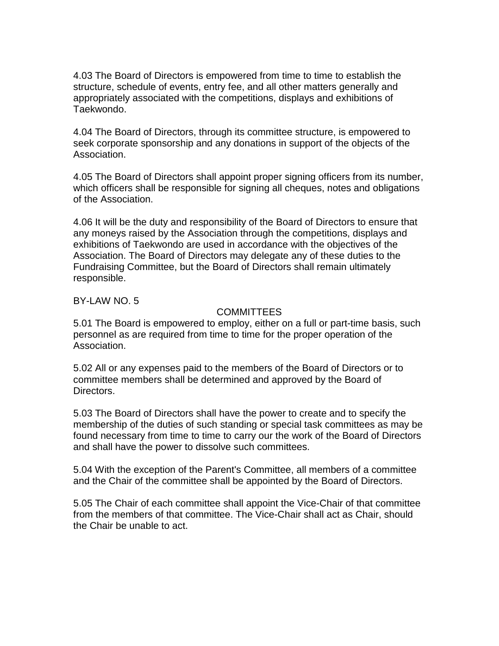4.03 The Board of Directors is empowered from time to time to establish the structure, schedule of events, entry fee, and all other matters generally and appropriately associated with the competitions, displays and exhibitions of Taekwondo.

4.04 The Board of Directors, through its committee structure, is empowered to seek corporate sponsorship and any donations in support of the objects of the Association.

4.05 The Board of Directors shall appoint proper signing officers from its number, which officers shall be responsible for signing all cheques, notes and obligations of the Association.

4.06 It will be the duty and responsibility of the Board of Directors to ensure that any moneys raised by the Association through the competitions, displays and exhibitions of Taekwondo are used in accordance with the objectives of the Association. The Board of Directors may delegate any of these duties to the Fundraising Committee, but the Board of Directors shall remain ultimately responsible.

BY-LAW NO. 5

### **COMMITTEES**

5.01 The Board is empowered to employ, either on a full or part-time basis, such personnel as are required from time to time for the proper operation of the Association.

5.02 All or any expenses paid to the members of the Board of Directors or to committee members shall be determined and approved by the Board of Directors.

5.03 The Board of Directors shall have the power to create and to specify the membership of the duties of such standing or special task committees as may be found necessary from time to time to carry our the work of the Board of Directors and shall have the power to dissolve such committees.

5.04 With the exception of the Parent's Committee, all members of a committee and the Chair of the committee shall be appointed by the Board of Directors.

5.05 The Chair of each committee shall appoint the Vice-Chair of that committee from the members of that committee. The Vice-Chair shall act as Chair, should the Chair be unable to act.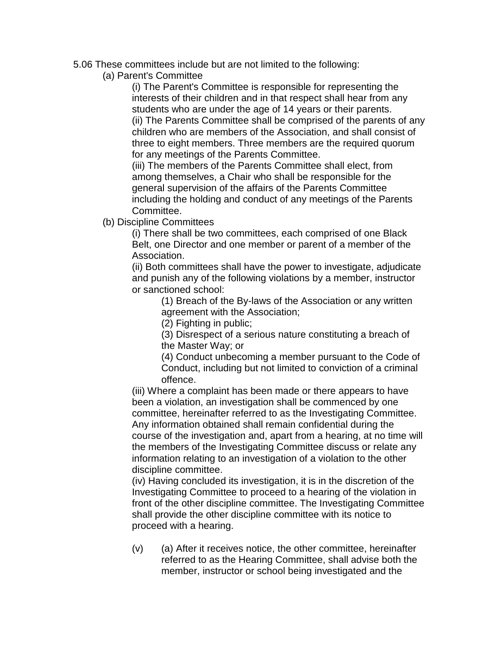- 5.06 These committees include but are not limited to the following:
	- (a) Parent's Committee

(i) The Parent's Committee is responsible for representing the interests of their children and in that respect shall hear from any students who are under the age of 14 years or their parents. (ii) The Parents Committee shall be comprised of the parents of any children who are members of the Association, and shall consist of three to eight members. Three members are the required quorum for any meetings of the Parents Committee.

(iii) The members of the Parents Committee shall elect, from among themselves, a Chair who shall be responsible for the general supervision of the affairs of the Parents Committee including the holding and conduct of any meetings of the Parents Committee.

(b) Discipline Committees

(i) There shall be two committees, each comprised of one Black Belt, one Director and one member or parent of a member of the Association.

(ii) Both committees shall have the power to investigate, adjudicate and punish any of the following violations by a member, instructor or sanctioned school:

(1) Breach of the By-laws of the Association or any written agreement with the Association;

(2) Fighting in public;

(3) Disrespect of a serious nature constituting a breach of the Master Way; or

(4) Conduct unbecoming a member pursuant to the Code of Conduct, including but not limited to conviction of a criminal offence.

(iii) Where a complaint has been made or there appears to have been a violation, an investigation shall be commenced by one committee, hereinafter referred to as the Investigating Committee. Any information obtained shall remain confidential during the course of the investigation and, apart from a hearing, at no time will the members of the Investigating Committee discuss or relate any information relating to an investigation of a violation to the other discipline committee.

(iv) Having concluded its investigation, it is in the discretion of the Investigating Committee to proceed to a hearing of the violation in front of the other discipline committee. The Investigating Committee shall provide the other discipline committee with its notice to proceed with a hearing.

 $(v)$  (a) After it receives notice, the other committee, hereinafter referred to as the Hearing Committee, shall advise both the member, instructor or school being investigated and the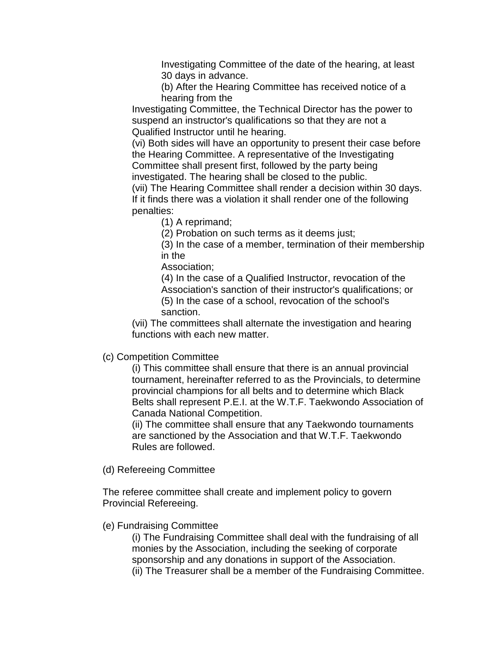Investigating Committee of the date of the hearing, at least 30 days in advance.

(b) After the Hearing Committee has received notice of a hearing from the

Investigating Committee, the Technical Director has the power to suspend an instructor's qualifications so that they are not a Qualified Instructor until he hearing.

(vi) Both sides will have an opportunity to present their case before the Hearing Committee. A representative of the Investigating Committee shall present first, followed by the party being investigated. The hearing shall be closed to the public.

(vii) The Hearing Committee shall render a decision within 30 days. If it finds there was a violation it shall render one of the following penalties:

(1) A reprimand;

(2) Probation on such terms as it deems just;

(3) In the case of a member, termination of their membership in the

Association;

(4) In the case of a Qualified Instructor, revocation of the Association's sanction of their instructor's qualifications; or (5) In the case of a school, revocation of the school's sanction.

(vii) The committees shall alternate the investigation and hearing functions with each new matter.

### (c) Competition Committee

(i) This committee shall ensure that there is an annual provincial tournament, hereinafter referred to as the Provincials, to determine provincial champions for all belts and to determine which Black Belts shall represent P.E.I. at the W.T.F. Taekwondo Association of Canada National Competition.

(ii) The committee shall ensure that any Taekwondo tournaments are sanctioned by the Association and that W.T.F. Taekwondo Rules are followed.

(d) Refereeing Committee

The referee committee shall create and implement policy to govern Provincial Refereeing.

### (e) Fundraising Committee

(i) The Fundraising Committee shall deal with the fundraising of all monies by the Association, including the seeking of corporate sponsorship and any donations in support of the Association. (ii) The Treasurer shall be a member of the Fundraising Committee.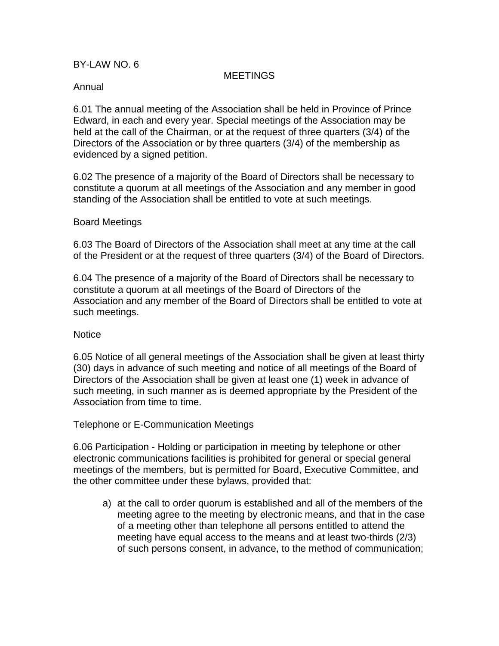### BY-LAW NO. 6

### **MEETINGS**

#### Annual

6.01 The annual meeting of the Association shall be held in Province of Prince Edward, in each and every year. Special meetings of the Association may be held at the call of the Chairman, or at the request of three quarters (3/4) of the Directors of the Association or by three quarters (3/4) of the membership as evidenced by a signed petition.

6.02 The presence of a majority of the Board of Directors shall be necessary to constitute a quorum at all meetings of the Association and any member in good standing of the Association shall be entitled to vote at such meetings.

#### Board Meetings

6.03 The Board of Directors of the Association shall meet at any time at the call of the President or at the request of three quarters (3/4) of the Board of Directors.

6.04 The presence of a majority of the Board of Directors shall be necessary to constitute a quorum at all meetings of the Board of Directors of the Association and any member of the Board of Directors shall be entitled to vote at such meetings.

#### **Notice**

6.05 Notice of all general meetings of the Association shall be given at least thirty (30) days in advance of such meeting and notice of all meetings of the Board of Directors of the Association shall be given at least one (1) week in advance of such meeting, in such manner as is deemed appropriate by the President of the Association from time to time.

Telephone or E-Communication Meetings

6.06 Participation - Holding or participation in meeting by telephone or other electronic communications facilities is prohibited for general or special general meetings of the members, but is permitted for Board, Executive Committee, and the other committee under these bylaws, provided that:

a) at the call to order quorum is established and all of the members of the meeting agree to the meeting by electronic means, and that in the case of a meeting other than telephone all persons entitled to attend the meeting have equal access to the means and at least two-thirds (2/3) of such persons consent, in advance, to the method of communication;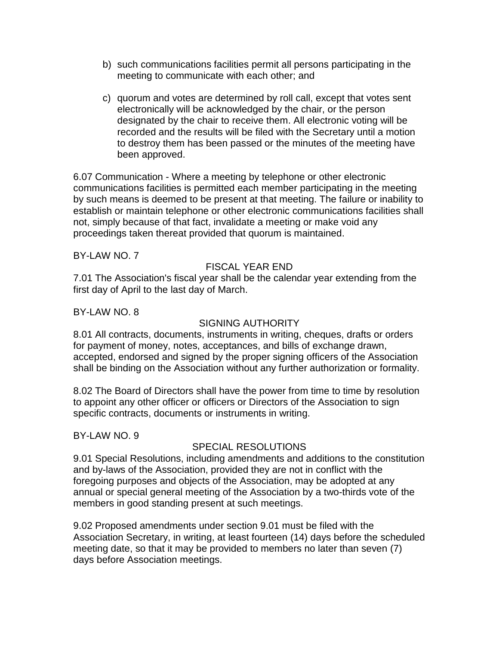- b) such communications facilities permit all persons participating in the meeting to communicate with each other; and
- c) quorum and votes are determined by roll call, except that votes sent electronically will be acknowledged by the chair, or the person designated by the chair to receive them. All electronic voting will be recorded and the results will be filed with the Secretary until a motion to destroy them has been passed or the minutes of the meeting have been approved.

6.07 Communication - Where a meeting by telephone or other electronic communications facilities is permitted each member participating in the meeting by such means is deemed to be present at that meeting. The failure or inability to establish or maintain telephone or other electronic communications facilities shall not, simply because of that fact, invalidate a meeting or make void any proceedings taken thereat provided that quorum is maintained.

BY-LAW NO. 7

# FISCAL YEAR END

7.01 The Association's fiscal year shall be the calendar year extending from the first day of April to the last day of March.

### BY-LAW NO. 8

## SIGNING AUTHORITY

8.01 All contracts, documents, instruments in writing, cheques, drafts or orders for payment of money, notes, acceptances, and bills of exchange drawn, accepted, endorsed and signed by the proper signing officers of the Association shall be binding on the Association without any further authorization or formality.

8.02 The Board of Directors shall have the power from time to time by resolution to appoint any other officer or officers or Directors of the Association to sign specific contracts, documents or instruments in writing.

BY-LAW NO. 9

## SPECIAL RESOLUTIONS

9.01 Special Resolutions, including amendments and additions to the constitution and by-laws of the Association, provided they are not in conflict with the foregoing purposes and objects of the Association, may be adopted at any annual or special general meeting of the Association by a two-thirds vote of the members in good standing present at such meetings.

9.02 Proposed amendments under section 9.01 must be filed with the Association Secretary, in writing, at least fourteen (14) days before the scheduled meeting date, so that it may be provided to members no later than seven (7) days before Association meetings.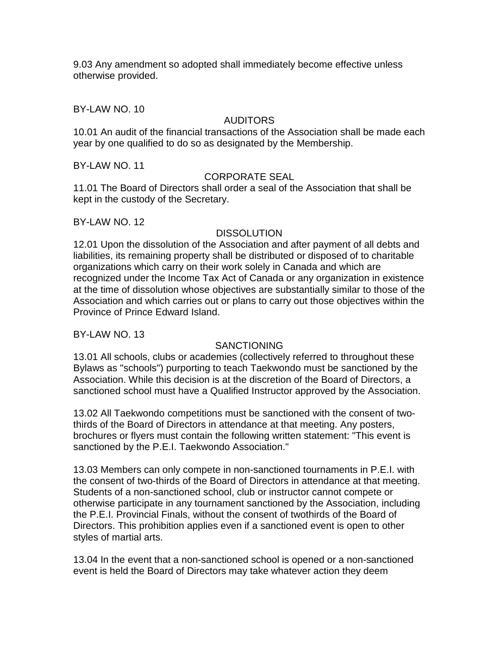9.03 Any amendment so adopted shall immediately become effective unless otherwise provided.

BY-LAW NO. 10

## AUDITORS

10.01 An audit of the financial transactions of the Association shall be made each year by one qualified to do so as designated by the Membership.

BY-LAW NO. 11

### CORPORATE SEAL

11.01 The Board of Directors shall order a seal of the Association that shall be kept in the custody of the Secretary.

### BY-LAW NO. 12

### **DISSOLUTION**

12.01 Upon the dissolution of the Association and after payment of all debts and liabilities, its remaining property shall be distributed or disposed of to charitable organizations which carry on their work solely in Canada and which are recognized under the Income Tax Act of Canada or any organization in existence at the time of dissolution whose objectives are substantially similar to those of the Association and which carries out or plans to carry out those objectives within the Province of Prince Edward Island.

BY-LAW NO. 13

### SANCTIONING

13.01 All schools, clubs or academies (collectively referred to throughout these Bylaws as "schools") purporting to teach Taekwondo must be sanctioned by the Association. While this decision is at the discretion of the Board of Directors, a sanctioned school must have a Qualified Instructor approved by the Association.

13.02 All Taekwondo competitions must be sanctioned with the consent of twothirds of the Board of Directors in attendance at that meeting. Any posters, brochures or flyers must contain the following written statement: "This event is sanctioned by the P.E.I. Taekwondo Association."

13.03 Members can only compete in non-sanctioned tournaments in P.E.I. with the consent of two-thirds of the Board of Directors in attendance at that meeting. Students of a non-sanctioned school, club or instructor cannot compete or otherwise participate in any tournament sanctioned by the Association, including the P.E.I. Provincial Finals, without the consent of twothirds of the Board of Directors. This prohibition applies even if a sanctioned event is open to other styles of martial arts.

13.04 In the event that a non-sanctioned school is opened or a non-sanctioned event is held the Board of Directors may take whatever action they deem